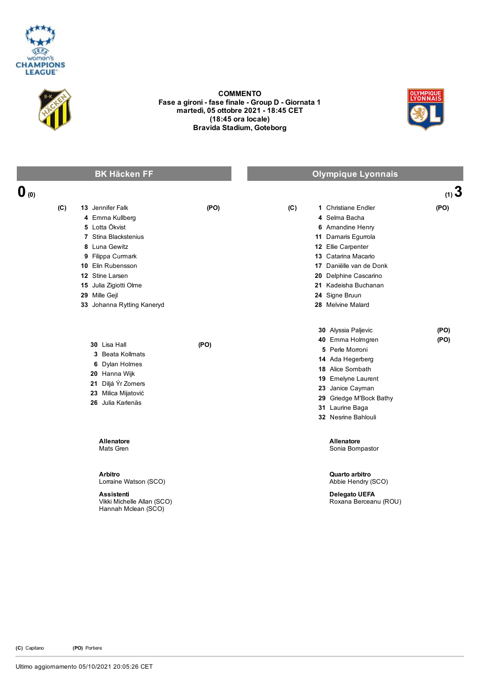



COMMENTO Fase a gironi - fase finale - Group D - Giornata 1 martedì, 05 ottobre 2021 18:45 CET (18:45 ora locale) Bravida Stadium, Goteborg



|                  | <b>BK Häcken FF</b>                                                                                                                                                                                                                         |      |     | <b>Olympique Lyonnais</b>                                                                                                                                                                                                                       |              |
|------------------|---------------------------------------------------------------------------------------------------------------------------------------------------------------------------------------------------------------------------------------------|------|-----|-------------------------------------------------------------------------------------------------------------------------------------------------------------------------------------------------------------------------------------------------|--------------|
| $\mathbf{0}$ (0) |                                                                                                                                                                                                                                             |      |     |                                                                                                                                                                                                                                                 | $(1)$ 3      |
| (C)              | <b>13</b> Jennifer Falk<br>4 Emma Kullberg<br>5 Lotta Ökvist<br>7 Stina Blackstenius<br>8 Luna Gewitz<br>9 Filippa Curmark<br>10 Elin Rubensson<br>12 Stine Larsen<br>15 Julia Zigiotti Olme<br>29 Mille Gejl<br>33 Johanna Rytting Kaneryd | (PO) | (C) | 1 Christiane Endler<br>4 Selma Bacha<br>6 Amandine Henry<br>11 Damaris Egurrola<br>12 Ellie Carpenter<br>13 Catarina Macario<br>17 Daniëlle van de Donk<br>20 Delphine Cascarino<br>21 Kadeisha Buchanan<br>24 Signe Bruun<br>28 Melvine Malard | (PO)         |
|                  | 30 Lisa Hall<br>3 Beata Kollmats<br>6 Dylan Holmes<br>20 Hanna Wijk<br>21 Diljá Ýr Zomers<br>23 Milica Mijatović<br>26 Julia Karlenäs                                                                                                       | (PO) |     | 30 Alyssia Paljevic<br>40 Emma Holmgren<br>5 Perle Morroni<br>14 Ada Hegerberg<br><b>18</b> Alice Sombath<br>19 Emelyne Laurent<br>23 Janice Cayman<br>29 Griedge M'Bock Bathy<br>31 Laurine Baga<br>32 Nesrine Bahlouli                        | (PO)<br>(PO) |
|                  | Allenatore<br>Mats Gren                                                                                                                                                                                                                     |      |     | Allenatore<br>Sonia Bompastor                                                                                                                                                                                                                   |              |
|                  | <b>Arbitro</b><br>Lorraine Watson (SCO)<br><b>Assistenti</b><br>Vikki Michelle Allan (SCO)<br>Hannah Mclean (SCO)                                                                                                                           |      |     | Quarto arbitro<br>Abbie Hendry (SCO)<br><b>Delegato UEFA</b><br>Roxana Berceanu (ROU)                                                                                                                                                           |              |